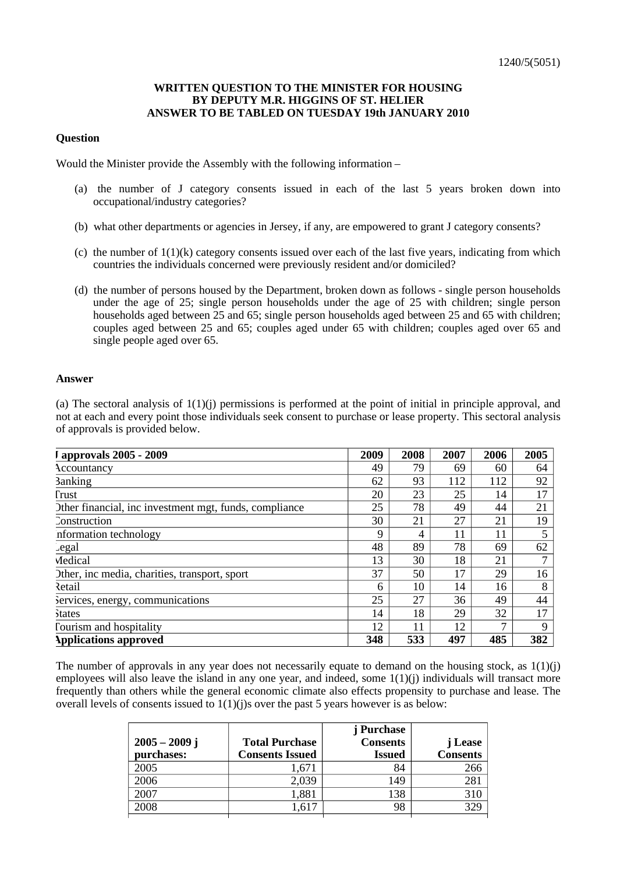## **WRITTEN QUESTION TO THE MINISTER FOR HOUSING BY DEPUTY M.R. HIGGINS OF ST. HELIER ANSWER TO BE TABLED ON TUESDAY 19th JANUARY 2010**

## **Question**

Would the Minister provide the Assembly with the following information –

- (a) the number of J category consents issued in each of the last 5 years broken down into occupational/industry categories?
- (b) what other departments or agencies in Jersey, if any, are empowered to grant J category consents?
- (c) the number of  $1(1)(k)$  category consents issued over each of the last five years, indicating from which countries the individuals concerned were previously resident and/or domiciled?
- (d) the number of persons housed by the Department, broken down as follows single person households under the age of 25; single person households under the age of 25 with children; single person households aged between 25 and 65; single person households aged between 25 and 65 with children; couples aged between 25 and 65; couples aged under 65 with children; couples aged over 65 and single people aged over 65.

## **Answer**

(a) The sectoral analysis of  $1(1)(i)$  permissions is performed at the point of initial in principle approval, and not at each and every point those individuals seek consent to purchase or lease property. This sectoral analysis of approvals is provided below.

| I approvals 2005 - 2009                                | 2009 | 2008 | 2007 | 2006 | 2005        |
|--------------------------------------------------------|------|------|------|------|-------------|
| Accountancy                                            | 49   | 79   | 69   | 60   | 64          |
| <b>3</b> anking                                        | 62   | 93   | 112  | 112  | 92          |
| <b>Trust</b>                                           | 20   | 23   | 25   | 14   | 17          |
| Other financial, inc investment mgt, funds, compliance | 25   | 78   | 49   | 44   | 21          |
| Construction                                           | 30   | 21   | 27   | 21   | 19          |
| information technology                                 | 9    | 4    | 11   | 11   |             |
| Legal                                                  | 48   | 89   | 78   | 69   | 62          |
| Medical                                                | 13   | 30   | 18   | 21   | 7           |
| Other, inc media, charities, transport, sport          | 37   | 50   | 17   | 29   | 16          |
| Retail                                                 | 6    | 10   | 14   | 16   | 8           |
| Services, energy, communications                       | 25   | 27   | 36   | 49   | 44          |
| <b>States</b>                                          | 14   | 18   | 29   | 32   | 17          |
| Tourism and hospitality                                | 12   | 11   | 12   | ⇁    | $\mathbf Q$ |
| <b>Applications approved</b>                           | 348  | 533  | 497  | 485  | 382         |

The number of approvals in any year does not necessarily equate to demand on the housing stock, as  $1(1)(j)$ employees will also leave the island in any one year, and indeed, some 1(1)(j) individuals will transact more frequently than others while the general economic climate also effects propensity to purchase and lease. The overall levels of consents issued to  $1(1)(j)$ s over the past 5 years however is as below:

|                 |                        | j Purchase      |                 |
|-----------------|------------------------|-----------------|-----------------|
| $2005 - 2009$ j | <b>Total Purchase</b>  | <b>Consents</b> | j Lease         |
| purchases:      | <b>Consents Issued</b> | <b>Issued</b>   | <b>Consents</b> |
| 2005            | ,67 <sub>1</sub>       | 84              | 266             |
| 2006            | 2,039                  | 149             | 281             |
| 2007            | 1,881                  | 138             | 310             |
| 2008            | .617                   | 98              | 329             |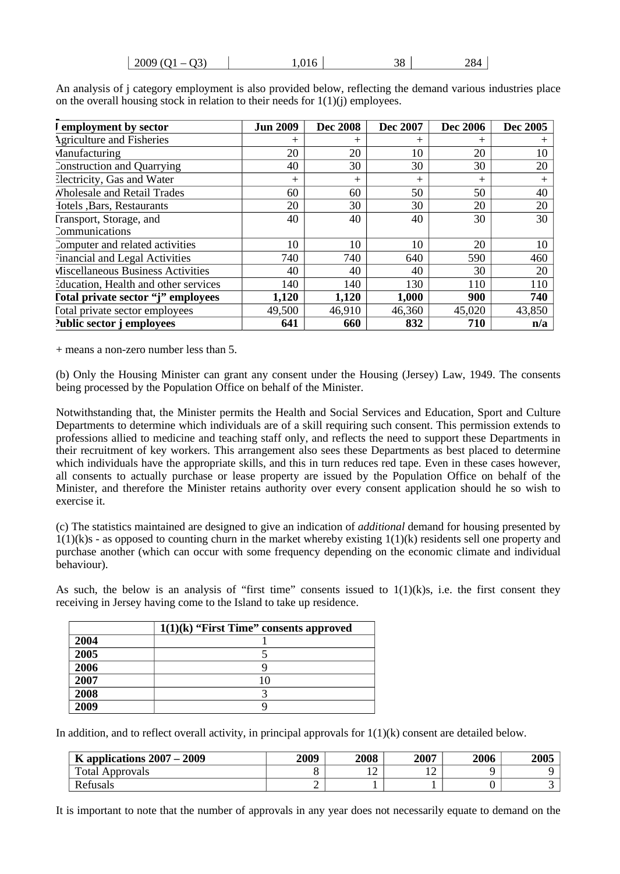| $\vert 2009(Q1 - Q3) \vert$ | 1,016 | 38 | 284 |
|-----------------------------|-------|----|-----|
|-----------------------------|-------|----|-----|

| I employment by sector               | <b>Jun 2009</b> | <b>Dec 2008</b> | Dec 2007     | <b>Dec 2006</b> | Dec 2005 |
|--------------------------------------|-----------------|-----------------|--------------|-----------------|----------|
| <b>Agriculture and Fisheries</b>     | $^{+}$          | $^{+}$          | $\mathrm{+}$ | $^{+}$          | $^+$     |
| Manufacturing                        | 20              | 20              | 10           | 20              | 10       |
| Construction and Quarrying           | 40              | 30              | 30           | 30              | 20       |
| Electricity, Gas and Water           | $^{+}$          | $\overline{+}$  | $+$          | $+$             | $\, +$   |
| <b>Wholesale and Retail Trades</b>   | 60              | 60              | 50           | 50              | 40       |
| Hotels , Bars, Restaurants           | 20              | 30              | 30           | 20              | 20       |
| Fransport, Storage, and              | 40              | 40              | 40           | 30              | 30       |
| <b>Communications</b>                |                 |                 |              |                 |          |
| Computer and related activities      | 10              | 10              | 10           | 20              | 10       |
| Financial and Legal Activities       | 740             | 740             | 640          | 590             | 460      |
| Miscellaneous Business Activities    | 40              | 40              | 40           | 30              | 20       |
| Education, Health and other services | 140             | 140             | 130          | 110             | 110      |
| Total private sector "j" employees   | 1,120           | 1,120           | 1,000        | 900             | 740      |
| Total private sector employees       | 49,500          | 46,910          | 46,360       | 45,020          | 43,850   |
| Public sector j employees            | 641             | 660             | 832          | 710             | n/a      |

An analysis of j category employment is also provided below, reflecting the demand various industries place on the overall housing stock in relation to their needs for  $1(1)(i)$  employees.

+ means a non-zero number less than 5.

(b) Only the Housing Minister can grant any consent under the Housing (Jersey) Law, 1949. The consents being processed by the Population Office on behalf of the Minister.

Notwithstanding that, the Minister permits the Health and Social Services and Education, Sport and Culture Departments to determine which individuals are of a skill requiring such consent. This permission extends to professions allied to medicine and teaching staff only, and reflects the need to support these Departments in their recruitment of key workers. This arrangement also sees these Departments as best placed to determine which individuals have the appropriate skills, and this in turn reduces red tape. Even in these cases however, all consents to actually purchase or lease property are issued by the Population Office on behalf of the Minister, and therefore the Minister retains authority over every consent application should he so wish to exercise it.

(c) The statistics maintained are designed to give an indication of *additional* demand for housing presented by  $1(1)(k)$ s - as opposed to counting churn in the market whereby existing  $1(1)(k)$  residents sell one property and purchase another (which can occur with some frequency depending on the economic climate and individual behaviour).

As such, the below is an analysis of "first time" consents issued to  $1(1)(k)s$ , i.e. the first consent they receiving in Jersey having come to the Island to take up residence.

|      | $1(1)(k)$ "First Time" consents approved |
|------|------------------------------------------|
| 2004 |                                          |
| 2005 |                                          |
| 2006 |                                          |
| 2007 | 10                                       |
| 2008 |                                          |
| 2009 |                                          |

In addition, and to reflect overall activity, in principal approvals for 1(1)(k) consent are detailed below.

| K applications $2007 - 2009$ | 2009 | 2008                          | 2007 | 2006 | 2005 |
|------------------------------|------|-------------------------------|------|------|------|
| <b>Total Approvals</b>       |      | $\overline{\phantom{a}}$<br>∸ | ∸    |      |      |
| Refusals                     |      |                               |      |      |      |

It is important to note that the number of approvals in any year does not necessarily equate to demand on the